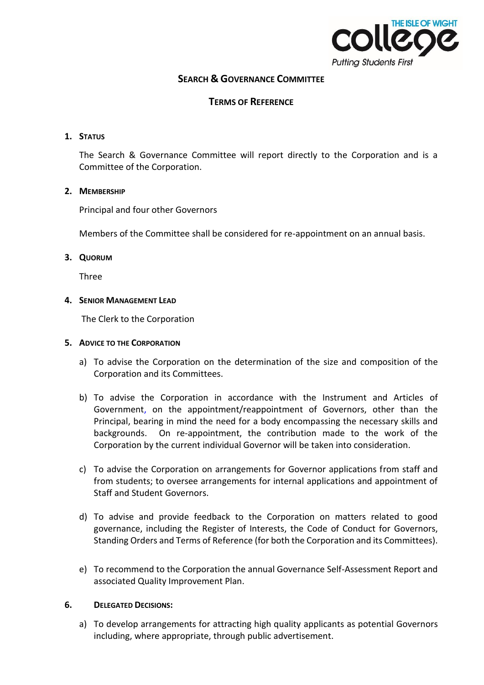

# **SEARCH & GOVERNANCE COMMITTEE**

## **TERMS OF REFERENCE**

### **1. STATUS**

The Search & Governance Committee will report directly to the Corporation and is a Committee of the Corporation.

#### **2. MEMBERSHIP**

Principal and four other Governors

Members of the Committee shall be considered for re-appointment on an annual basis.

#### **3. QUORUM**

Three

#### **4. SENIOR MANAGEMENT LEAD**

The Clerk to the Corporation

#### **5. ADVICE TO THE CORPORATION**

- a) To advise the Corporation on the determination of the size and composition of the Corporation and its Committees.
- b) To advise the Corporation in accordance with the Instrument and Articles of Government, on the appointment/reappointment of Governors, other than the Principal, bearing in mind the need for a body encompassing the necessary skills and backgrounds. On re-appointment, the contribution made to the work of the Corporation by the current individual Governor will be taken into consideration.
- c) To advise the Corporation on arrangements for Governor applications from staff and from students; to oversee arrangements for internal applications and appointment of Staff and Student Governors.
- d) To advise and provide feedback to the Corporation on matters related to good governance, including the Register of Interests, the Code of Conduct for Governors, Standing Orders and Terms of Reference (for both the Corporation and its Committees).
- e) To recommend to the Corporation the annual Governance Self-Assessment Report and associated Quality Improvement Plan.

### **6. DELEGATED DECISIONS:**

a) To develop arrangements for attracting high quality applicants as potential Governors including, where appropriate, through public advertisement.